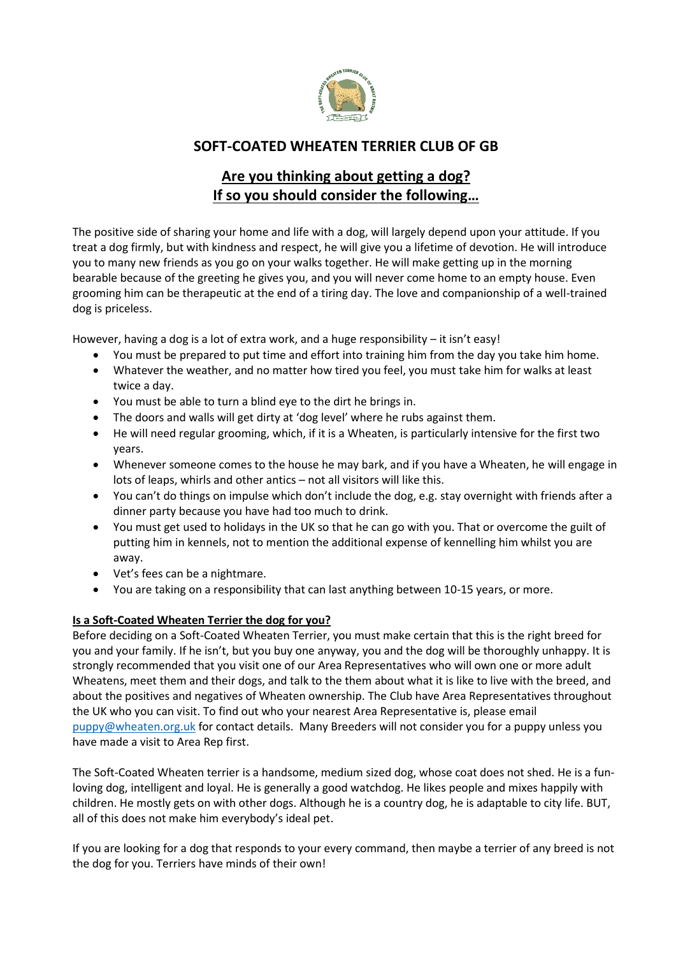

## **SOFT-COATED WHEATEN TERRIER CLUB OF GB**

# **Are you thinking about getting a dog? If so you should consider the following…**

The positive side of sharing your home and life with a dog, will largely depend upon your attitude. If you treat a dog firmly, but with kindness and respect, he will give you a lifetime of devotion. He will introduce you to many new friends as you go on your walks together. He will make getting up in the morning bearable because of the greeting he gives you, and you will never come home to an empty house. Even grooming him can be therapeutic at the end of a tiring day. The love and companionship of a well-trained dog is priceless.

However, having a dog is a lot of extra work, and a huge responsibility – it isn't easy!

- You must be prepared to put time and effort into training him from the day you take him home.
- Whatever the weather, and no matter how tired you feel, you must take him for walks at least twice a day.
- You must be able to turn a blind eye to the dirt he brings in.
- The doors and walls will get dirty at 'dog level' where he rubs against them.
- He will need regular grooming, which, if it is a Wheaten, is particularly intensive for the first two years.
- Whenever someone comes to the house he may bark, and if you have a Wheaten, he will engage in lots of leaps, whirls and other antics – not all visitors will like this.
- You can't do things on impulse which don't include the dog, e.g. stay overnight with friends after a dinner party because you have had too much to drink.
- You must get used to holidays in the UK so that he can go with you. That or overcome the guilt of putting him in kennels, not to mention the additional expense of kennelling him whilst you are away.
- Vet's fees can be a nightmare.
- You are taking on a responsibility that can last anything between 10-15 years, or more.

## **Is a Soft-Coated Wheaten Terrier the dog for you?**

Before deciding on a Soft-Coated Wheaten Terrier, you must make certain that this is the right breed for you and your family. If he isn't, but you buy one anyway, you and the dog will be thoroughly unhappy. It is strongly recommended that you visit one of our Area Representatives who will own one or more adult Wheatens, meet them and their dogs, and talk to the them about what it is like to live with the breed, and about the positives and negatives of Wheaten ownership. The Club have Area Representatives throughout the UK who you can visit. To find out who your nearest Area Representative is, please email [puppy@wheaten.org.uk](mailto:puppy@wheaten.org.uk) for contact details. Many Breeders will not consider you for a puppy unless you have made a visit to Area Rep first.

The Soft-Coated Wheaten terrier is a handsome, medium sized dog, whose coat does not shed. He is a funloving dog, intelligent and loyal. He is generally a good watchdog. He likes people and mixes happily with children. He mostly gets on with other dogs. Although he is a country dog, he is adaptable to city life. BUT, all of this does not make him everybody's ideal pet.

If you are looking for a dog that responds to your every command, then maybe a terrier of any breed is not the dog for you. Terriers have minds of their own!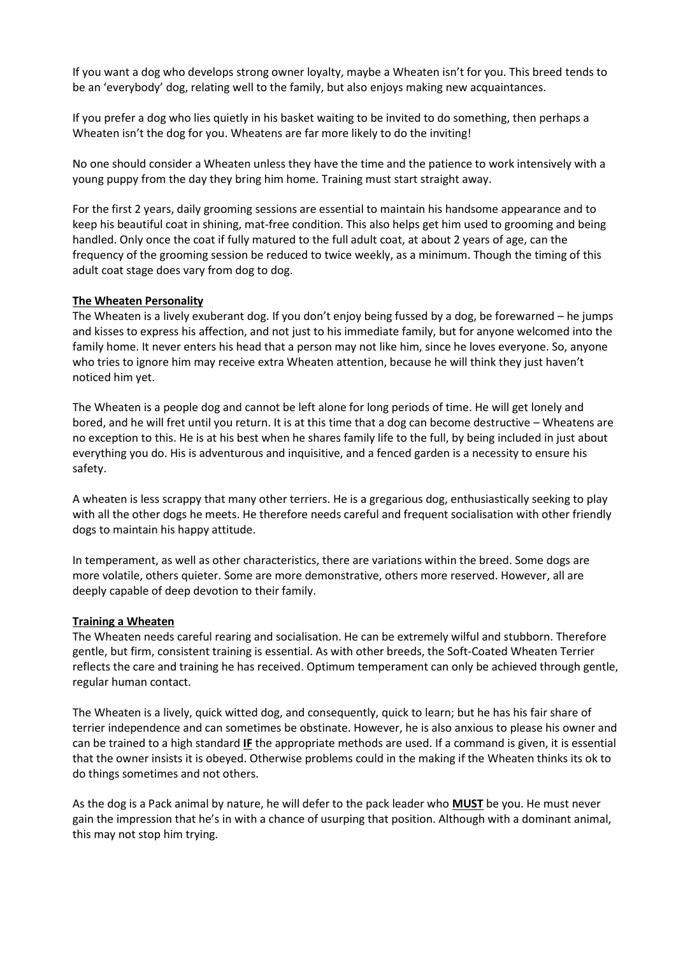If you want a dog who develops strong owner loyalty, maybe a Wheaten isn't for you. This breed tends to be an 'everybody' dog, relating well to the family, but also enjoys making new acquaintances.

If you prefer a dog who lies quietly in his basket waiting to be invited to do something, then perhaps a Wheaten isn't the dog for you. Wheatens are far more likely to do the inviting!

No one should consider a Wheaten unless they have the time and the patience to work intensively with a young puppy from the day they bring him home. Training must start straight away.

For the first 2 years, daily grooming sessions are essential to maintain his handsome appearance and to keep his beautiful coat in shining, mat-free condition. This also helps get him used to grooming and being handled. Only once the coat if fully matured to the full adult coat, at about 2 years of age, can the frequency of the grooming session be reduced to twice weekly, as a minimum. Though the timing of this adult coat stage does vary from dog to dog.

## **The Wheaten Personality**

The Wheaten is a lively exuberant dog. If you don't enjoy being fussed by a dog, be forewarned – he jumps and kisses to express his affection, and not just to his immediate family, but for anyone welcomed into the family home. It never enters his head that a person may not like him, since he loves everyone. So, anyone who tries to ignore him may receive extra Wheaten attention, because he will think they just haven't noticed him yet.

The Wheaten is a people dog and cannot be left alone for long periods of time. He will get lonely and bored, and he will fret until you return. It is at this time that a dog can become destructive – Wheatens are no exception to this. He is at his best when he shares family life to the full, by being included in just about everything you do. His is adventurous and inquisitive, and a fenced garden is a necessity to ensure his safety.

A wheaten is less scrappy that many other terriers. He is a gregarious dog, enthusiastically seeking to play with all the other dogs he meets. He therefore needs careful and frequent socialisation with other friendly dogs to maintain his happy attitude.

In temperament, as well as other characteristics, there are variations within the breed. Some dogs are more volatile, others quieter. Some are more demonstrative, others more reserved. However, all are deeply capable of deep devotion to their family.

#### **Training a Wheaten**

The Wheaten needs careful rearing and socialisation. He can be extremely wilful and stubborn. Therefore gentle, but firm, consistent training is essential. As with other breeds, the Soft-Coated Wheaten Terrier reflects the care and training he has received. Optimum temperament can only be achieved through gentle, regular human contact.

The Wheaten is a lively, quick witted dog, and consequently, quick to learn; but he has his fair share of terrier independence and can sometimes be obstinate. However, he is also anxious to please his owner and can be trained to a high standard **IF** the appropriate methods are used. If a command is given, it is essential that the owner insists it is obeyed. Otherwise problems could in the making if the Wheaten thinks its ok to do things sometimes and not others.

As the dog is a Pack animal by nature, he will defer to the pack leader who **MUST** be you. He must never gain the impression that he's in with a chance of usurping that position. Although with a dominant animal, this may not stop him trying.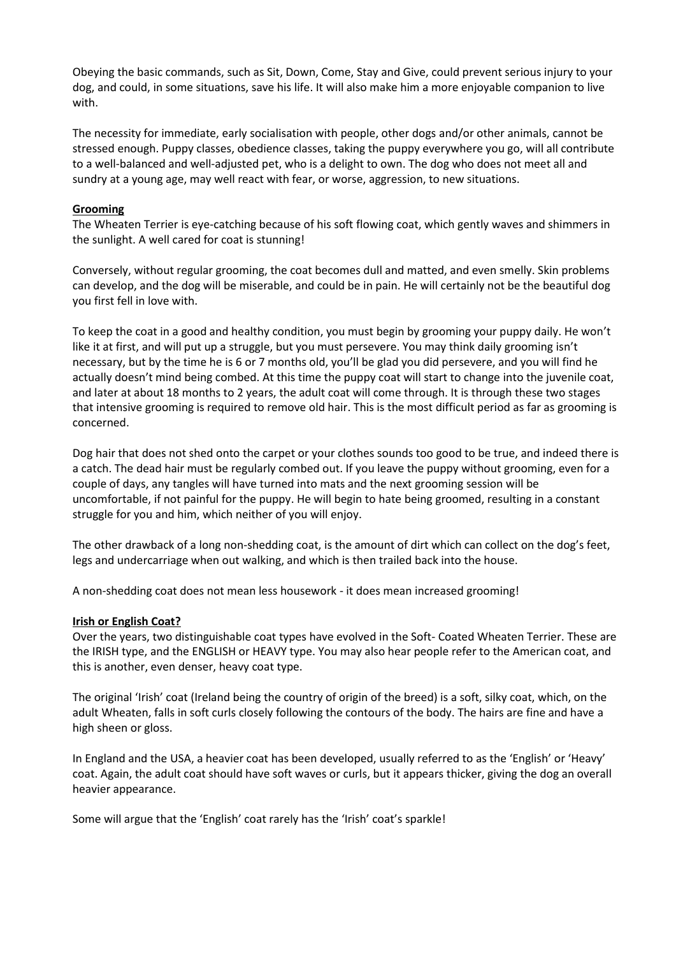Obeying the basic commands, such as Sit, Down, Come, Stay and Give, could prevent serious injury to your dog, and could, in some situations, save his life. It will also make him a more enjoyable companion to live with.

The necessity for immediate, early socialisation with people, other dogs and/or other animals, cannot be stressed enough. Puppy classes, obedience classes, taking the puppy everywhere you go, will all contribute to a well-balanced and well-adjusted pet, who is a delight to own. The dog who does not meet all and sundry at a young age, may well react with fear, or worse, aggression, to new situations.

## **Grooming**

The Wheaten Terrier is eye-catching because of his soft flowing coat, which gently waves and shimmers in the sunlight. A well cared for coat is stunning!

Conversely, without regular grooming, the coat becomes dull and matted, and even smelly. Skin problems can develop, and the dog will be miserable, and could be in pain. He will certainly not be the beautiful dog you first fell in love with.

To keep the coat in a good and healthy condition, you must begin by grooming your puppy daily. He won't like it at first, and will put up a struggle, but you must persevere. You may think daily grooming isn't necessary, but by the time he is 6 or 7 months old, you'll be glad you did persevere, and you will find he actually doesn't mind being combed. At this time the puppy coat will start to change into the juvenile coat, and later at about 18 months to 2 years, the adult coat will come through. It is through these two stages that intensive grooming is required to remove old hair. This is the most difficult period as far as grooming is concerned.

Dog hair that does not shed onto the carpet or your clothes sounds too good to be true, and indeed there is a catch. The dead hair must be regularly combed out. If you leave the puppy without grooming, even for a couple of days, any tangles will have turned into mats and the next grooming session will be uncomfortable, if not painful for the puppy. He will begin to hate being groomed, resulting in a constant struggle for you and him, which neither of you will enjoy.

The other drawback of a long non-shedding coat, is the amount of dirt which can collect on the dog's feet, legs and undercarriage when out walking, and which is then trailed back into the house.

A non-shedding coat does not mean less housework - it does mean increased grooming!

#### **Irish or English Coat?**

Over the years, two distinguishable coat types have evolved in the Soft- Coated Wheaten Terrier. These are the IRISH type, and the ENGLISH or HEAVY type. You may also hear people refer to the American coat, and this is another, even denser, heavy coat type.

The original 'Irish' coat (Ireland being the country of origin of the breed) is a soft, silky coat, which, on the adult Wheaten, falls in soft curls closely following the contours of the body. The hairs are fine and have a high sheen or gloss.

In England and the USA, a heavier coat has been developed, usually referred to as the 'English' or 'Heavy' coat. Again, the adult coat should have soft waves or curls, but it appears thicker, giving the dog an overall heavier appearance.

Some will argue that the 'English' coat rarely has the 'Irish' coat's sparkle!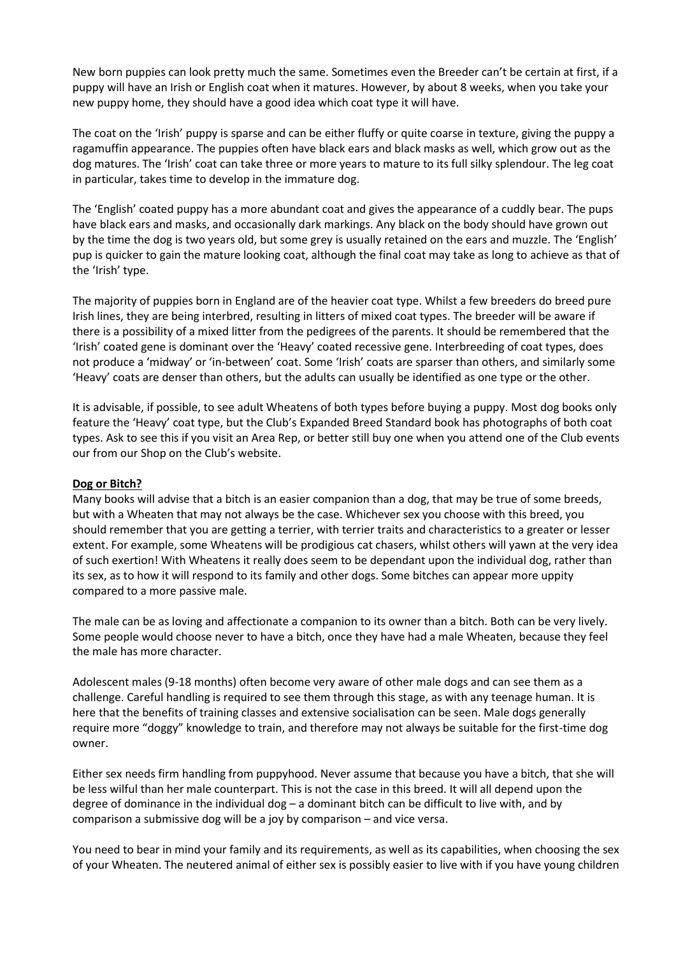New born puppies can look pretty much the same. Sometimes even the Breeder can't be certain at first, if a puppy will have an Irish or English coat when it matures. However, by about 8 weeks, when you take your new puppy home, they should have a good idea which coat type it will have.

The coat on the 'Irish' puppy is sparse and can be either fluffy or quite coarse in texture, giving the puppy a ragamuffin appearance. The puppies often have black ears and black masks as well, which grow out as the dog matures. The 'Irish' coat can take three or more years to mature to its full silky splendour. The leg coat in particular, takes time to develop in the immature dog.

The 'English' coated puppy has a more abundant coat and gives the appearance of a cuddly bear. The pups have black ears and masks, and occasionally dark markings. Any black on the body should have grown out by the time the dog is two years old, but some grey is usually retained on the ears and muzzle. The 'English' pup is quicker to gain the mature looking coat, although the final coat may take as long to achieve as that of the 'Irish' type.

The majority of puppies born in England are of the heavier coat type. Whilst a few breeders do breed pure Irish lines, they are being interbred, resulting in litters of mixed coat types. The breeder will be aware if there is a possibility of a mixed litter from the pedigrees of the parents. It should be remembered that the 'Irish' coated gene is dominant over the 'Heavy' coated recessive gene. Interbreeding of coat types, does not produce a 'midway' or 'in-between' coat. Some 'Irish' coats are sparser than others, and similarly some 'Heavy' coats are denser than others, but the adults can usually be identified as one type or the other.

It is advisable, if possible, to see adult Wheatens of both types before buying a puppy. Most dog books only feature the 'Heavy' coat type, but the Club's Expanded Breed Standard book has photographs of both coat types. Ask to see this if you visit an Area Rep, or better still buy one when you attend one of the Club events our from our Shop on the Club's website.

#### **Dog or Bitch?**

Many books will advise that a bitch is an easier companion than a dog, that may be true of some breeds, but with a Wheaten that may not always be the case. Whichever sex you choose with this breed, you should remember that you are getting a terrier, with terrier traits and characteristics to a greater or lesser extent. For example, some Wheatens will be prodigious cat chasers, whilst others will yawn at the very idea of such exertion! With Wheatens it really does seem to be dependant upon the individual dog, rather than its sex, as to how it will respond to its family and other dogs. Some bitches can appear more uppity compared to a more passive male.

The male can be as loving and affectionate a companion to its owner than a bitch. Both can be very lively. Some people would choose never to have a bitch, once they have had a male Wheaten, because they feel the male has more character.

Adolescent males (9-18 months) often become very aware of other male dogs and can see them as a challenge. Careful handling is required to see them through this stage, as with any teenage human. It is here that the benefits of training classes and extensive socialisation can be seen. Male dogs generally require more "doggy" knowledge to train, and therefore may not always be suitable for the first-time dog owner.

Either sex needs firm handling from puppyhood. Never assume that because you have a bitch, that she will be less wilful than her male counterpart. This is not the case in this breed. It will all depend upon the degree of dominance in the individual dog – a dominant bitch can be difficult to live with, and by comparison a submissive dog will be a joy by comparison – and vice versa.

You need to bear in mind your family and its requirements, as well as its capabilities, when choosing the sex of your Wheaten. The neutered animal of either sex is possibly easier to live with if you have young children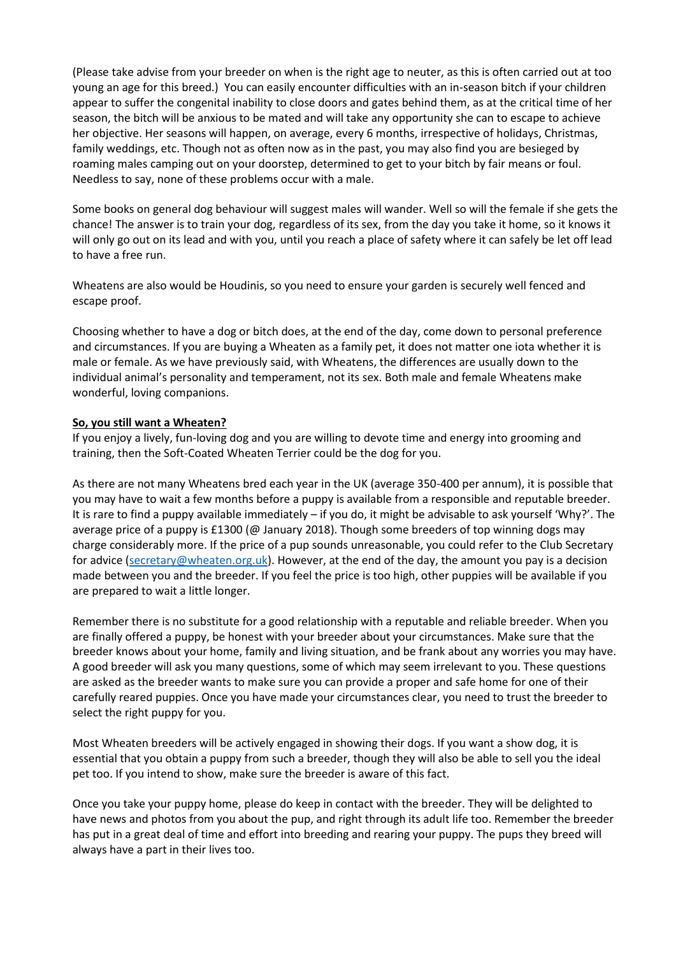(Please take advise from your breeder on when is the right age to neuter, as this is often carried out at too young an age for this breed.) You can easily encounter difficulties with an in-season bitch if your children appear to suffer the congenital inability to close doors and gates behind them, as at the critical time of her season, the bitch will be anxious to be mated and will take any opportunity she can to escape to achieve her objective. Her seasons will happen, on average, every 6 months, irrespective of holidays, Christmas, family weddings, etc. Though not as often now as in the past, you may also find you are besieged by roaming males camping out on your doorstep, determined to get to your bitch by fair means or foul. Needless to say, none of these problems occur with a male.

Some books on general dog behaviour will suggest males will wander. Well so will the female if she gets the chance! The answer is to train your dog, regardless of its sex, from the day you take it home, so it knows it will only go out on its lead and with you, until you reach a place of safety where it can safely be let off lead to have a free run.

Wheatens are also would be Houdinis, so you need to ensure your garden is securely well fenced and escape proof.

Choosing whether to have a dog or bitch does, at the end of the day, come down to personal preference and circumstances. If you are buying a Wheaten as a family pet, it does not matter one iota whether it is male or female. As we have previously said, with Wheatens, the differences are usually down to the individual animal's personality and temperament, not its sex. Both male and female Wheatens make wonderful, loving companions.

#### **So, you still want a Wheaten?**

If you enjoy a lively, fun-loving dog and you are willing to devote time and energy into grooming and training, then the Soft-Coated Wheaten Terrier could be the dog for you.

As there are not many Wheatens bred each year in the UK (average 350-400 per annum), it is possible that you may have to wait a few months before a puppy is available from a responsible and reputable breeder. It is rare to find a puppy available immediately – if you do, it might be advisable to ask yourself 'Why?'. The average price of a puppy is £1300 (@ January 2018). Though some breeders of top winning dogs may charge considerably more. If the price of a pup sounds unreasonable, you could refer to the Club Secretary for advice [\(secretary@wheaten.org.uk\)](mailto:secretary@wheaten.org.uk). However, at the end of the day, the amount you pay is a decision made between you and the breeder. If you feel the price is too high, other puppies will be available if you are prepared to wait a little longer.

Remember there is no substitute for a good relationship with a reputable and reliable breeder. When you are finally offered a puppy, be honest with your breeder about your circumstances. Make sure that the breeder knows about your home, family and living situation, and be frank about any worries you may have. A good breeder will ask you many questions, some of which may seem irrelevant to you. These questions are asked as the breeder wants to make sure you can provide a proper and safe home for one of their carefully reared puppies. Once you have made your circumstances clear, you need to trust the breeder to select the right puppy for you.

Most Wheaten breeders will be actively engaged in showing their dogs. If you want a show dog, it is essential that you obtain a puppy from such a breeder, though they will also be able to sell you the ideal pet too. If you intend to show, make sure the breeder is aware of this fact.

Once you take your puppy home, please do keep in contact with the breeder. They will be delighted to have news and photos from you about the pup, and right through its adult life too. Remember the breeder has put in a great deal of time and effort into breeding and rearing your puppy. The pups they breed will always have a part in their lives too.